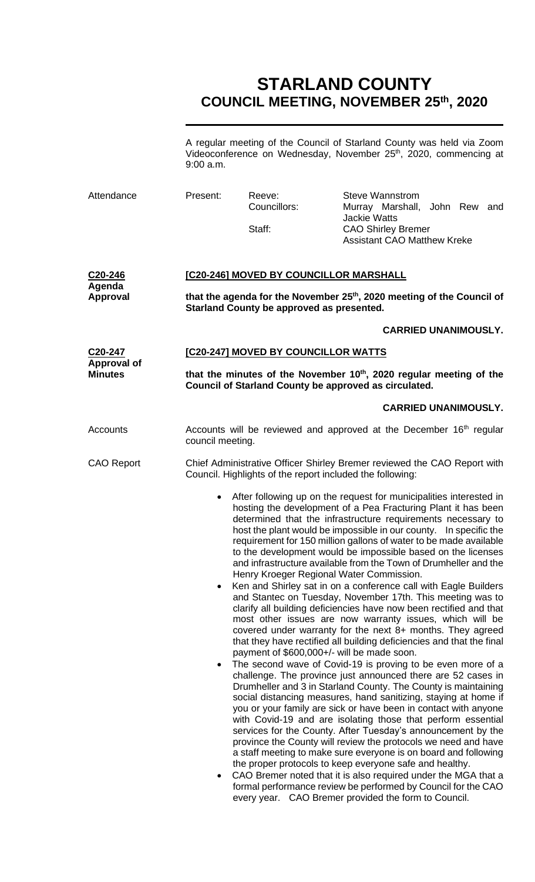# **STARLAND COUNTY COUNCIL MEETING, NOVEMBER 25 th, 2020**

A regular meeting of the Council of Starland County was held via Zoom Videoconference on Wednesday, November 25<sup>th</sup>, 2020, commencing at 9:00 a.m.

| Attendance                                                   | Present:                                                                                                                                                                        | Reeve:<br>Councillors:<br>Staff:                                                                                                                                                                                                                                                                                                                                                                                                                                                                                                                                                                                                                                                                                                                                                                                                                                                                                                                                                                                                                                                                                                                                                                                                                                                                                                                                                                                                                                                                                                                                                                                                                                                                                                | <b>Steve Wannstrom</b><br>Murray Marshall,<br>John Rew and<br><b>Jackie Watts</b><br><b>CAO Shirley Bremer</b><br><b>Assistant CAO Matthew Kreke</b> |  |  |
|--------------------------------------------------------------|---------------------------------------------------------------------------------------------------------------------------------------------------------------------------------|---------------------------------------------------------------------------------------------------------------------------------------------------------------------------------------------------------------------------------------------------------------------------------------------------------------------------------------------------------------------------------------------------------------------------------------------------------------------------------------------------------------------------------------------------------------------------------------------------------------------------------------------------------------------------------------------------------------------------------------------------------------------------------------------------------------------------------------------------------------------------------------------------------------------------------------------------------------------------------------------------------------------------------------------------------------------------------------------------------------------------------------------------------------------------------------------------------------------------------------------------------------------------------------------------------------------------------------------------------------------------------------------------------------------------------------------------------------------------------------------------------------------------------------------------------------------------------------------------------------------------------------------------------------------------------------------------------------------------------|------------------------------------------------------------------------------------------------------------------------------------------------------|--|--|
| C20-246<br>Agenda<br><b>Approval</b>                         | [C20-246] MOVED BY COUNCILLOR MARSHALL<br>that the agenda for the November 25 <sup>th</sup> , 2020 meeting of the Council of<br>Starland County be approved as presented.       |                                                                                                                                                                                                                                                                                                                                                                                                                                                                                                                                                                                                                                                                                                                                                                                                                                                                                                                                                                                                                                                                                                                                                                                                                                                                                                                                                                                                                                                                                                                                                                                                                                                                                                                                 |                                                                                                                                                      |  |  |
|                                                              |                                                                                                                                                                                 |                                                                                                                                                                                                                                                                                                                                                                                                                                                                                                                                                                                                                                                                                                                                                                                                                                                                                                                                                                                                                                                                                                                                                                                                                                                                                                                                                                                                                                                                                                                                                                                                                                                                                                                                 |                                                                                                                                                      |  |  |
| C <sub>20</sub> -247<br><b>Approval of</b><br><b>Minutes</b> | [C20-247] MOVED BY COUNCILLOR WATTS<br>that the minutes of the November 10 <sup>th</sup> , 2020 regular meeting of the<br>Council of Starland County be approved as circulated. |                                                                                                                                                                                                                                                                                                                                                                                                                                                                                                                                                                                                                                                                                                                                                                                                                                                                                                                                                                                                                                                                                                                                                                                                                                                                                                                                                                                                                                                                                                                                                                                                                                                                                                                                 |                                                                                                                                                      |  |  |
|                                                              |                                                                                                                                                                                 |                                                                                                                                                                                                                                                                                                                                                                                                                                                                                                                                                                                                                                                                                                                                                                                                                                                                                                                                                                                                                                                                                                                                                                                                                                                                                                                                                                                                                                                                                                                                                                                                                                                                                                                                 |                                                                                                                                                      |  |  |
| Accounts                                                     |                                                                                                                                                                                 | Accounts will be reviewed and approved at the December 16 <sup>th</sup> regular<br>council meeting.                                                                                                                                                                                                                                                                                                                                                                                                                                                                                                                                                                                                                                                                                                                                                                                                                                                                                                                                                                                                                                                                                                                                                                                                                                                                                                                                                                                                                                                                                                                                                                                                                             |                                                                                                                                                      |  |  |
| <b>CAO Report</b>                                            |                                                                                                                                                                                 | Chief Administrative Officer Shirley Bremer reviewed the CAO Report with<br>Council. Highlights of the report included the following:                                                                                                                                                                                                                                                                                                                                                                                                                                                                                                                                                                                                                                                                                                                                                                                                                                                                                                                                                                                                                                                                                                                                                                                                                                                                                                                                                                                                                                                                                                                                                                                           |                                                                                                                                                      |  |  |
|                                                              | $\bullet$<br>$\bullet$<br>٠<br>formal performance review be performed by Council for the CAO                                                                                    | After following up on the request for municipalities interested in<br>hosting the development of a Pea Fracturing Plant it has been<br>determined that the infrastructure requirements necessary to<br>host the plant would be impossible in our county.  In specific the<br>requirement for 150 million gallons of water to be made available<br>to the development would be impossible based on the licenses<br>and infrastructure available from the Town of Drumheller and the<br>Henry Kroeger Regional Water Commission.<br>Ken and Shirley sat in on a conference call with Eagle Builders<br>and Stantec on Tuesday, November 17th. This meeting was to<br>clarify all building deficiencies have now been rectified and that<br>most other issues are now warranty issues, which will be<br>covered under warranty for the next 8+ months. They agreed<br>that they have rectified all building deficiencies and that the final<br>payment of \$600,000+/- will be made soon.<br>The second wave of Covid-19 is proving to be even more of a<br>challenge. The province just announced there are 52 cases in<br>Drumheller and 3 in Starland County. The County is maintaining<br>social distancing measures, hand sanitizing, staying at home if<br>you or your family are sick or have been in contact with anyone<br>with Covid-19 and are isolating those that perform essential<br>services for the County. After Tuesday's announcement by the<br>province the County will review the protocols we need and have<br>a staff meeting to make sure everyone is on board and following<br>the proper protocols to keep everyone safe and healthy.<br>CAO Bremer noted that it is also required under the MGA that a |                                                                                                                                                      |  |  |

every year. CAO Bremer provided the form to Council.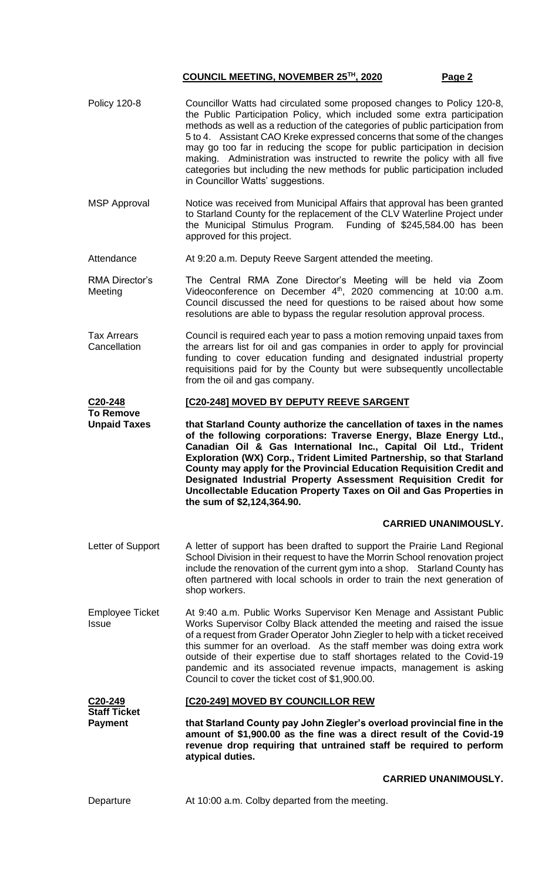- Policy 120-8 Councillor Watts had circulated some proposed changes to Policy 120-8, the Public Participation Policy, which included some extra participation methods as well as a reduction of the categories of public participation from 5 to 4. Assistant CAO Kreke expressed concerns that some of the changes may go too far in reducing the scope for public participation in decision making. Administration was instructed to rewrite the policy with all five categories but including the new methods for public participation included in Councillor Watts' suggestions.
- MSP Approval Notice was received from Municipal Affairs that approval has been granted to Starland County for the replacement of the CLV Waterline Project under the Municipal Stimulus Program. Funding of \$245,584.00 has been approved for this project.
- Attendance At 9:20 a.m. Deputy Reeve Sargent attended the meeting.
- RMA Director's Meeting The Central RMA Zone Director's Meeting will be held via Zoom Videoconference on December 4<sup>th</sup>, 2020 commencing at 10:00 a.m. Council discussed the need for questions to be raised about how some resolutions are able to bypass the regular resolution approval process.
- Tax Arrears **Cancellation** Council is required each year to pass a motion removing unpaid taxes from the arrears list for oil and gas companies in order to apply for provincial funding to cover education funding and designated industrial property requisitions paid for by the County but were subsequently uncollectable from the oil and gas company.

#### **C20-248 [C20-248] MOVED BY DEPUTY REEVE SARGENT**

**To Remove Unpaid Taxes that Starland County authorize the cancellation of taxes in the names of the following corporations: Traverse Energy, Blaze Energy Ltd., Canadian Oil & Gas International Inc., Capital Oil Ltd., Trident Exploration (WX) Corp., Trident Limited Partnership, so that Starland County may apply for the Provincial Education Requisition Credit and Designated Industrial Property Assessment Requisition Credit for Uncollectable Education Property Taxes on Oil and Gas Properties in the sum of \$2,124,364.90.**

### **CARRIED UNANIMOUSLY.**

- Letter of Support A letter of support has been drafted to support the Prairie Land Regional School Division in their request to have the Morrin School renovation project include the renovation of the current gym into a shop. Starland County has often partnered with local schools in order to train the next generation of shop workers.
- Employee Ticket Issue At 9:40 a.m. Public Works Supervisor Ken Menage and Assistant Public Works Supervisor Colby Black attended the meeting and raised the issue of a request from Grader Operator John Ziegler to help with a ticket received this summer for an overload. As the staff member was doing extra work outside of their expertise due to staff shortages related to the Covid-19 pandemic and its associated revenue impacts, management is asking Council to cover the ticket cost of \$1,900.00.

# **[C20-249] MOVED BY COUNCILLOR REW**

**Staff Ticket Payment that Starland County pay John Ziegler's overload provincial fine in the amount of \$1,900.00 as the fine was a direct result of the Covid-19 revenue drop requiring that untrained staff be required to perform atypical duties.**

#### **CARRIED UNANIMOUSLY.**

**C20-249**

Departure At 10:00 a.m. Colby departed from the meeting.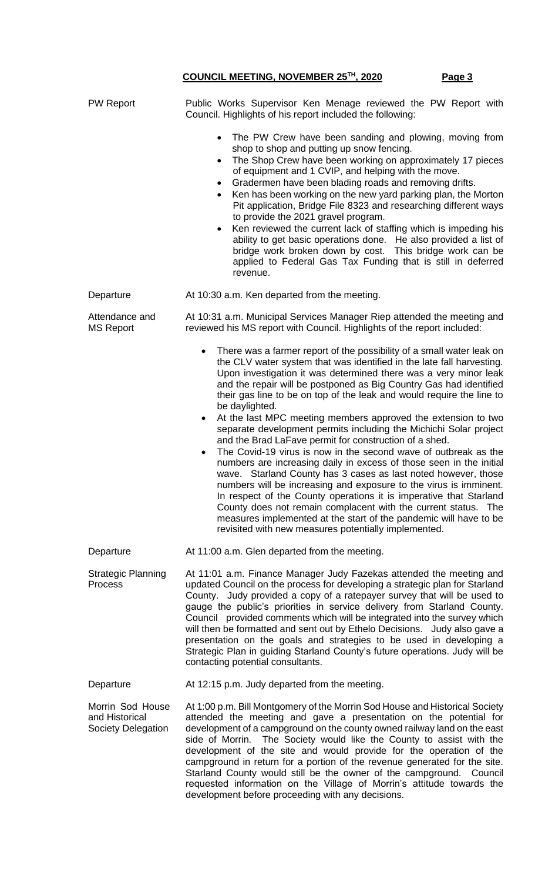| <b>PW Report</b>                                         | Public Works Supervisor Ken Menage reviewed the PW Report with<br>Council. Highlights of his report included the following:                                                                                                                                                                                                                                                                                                                                                                                                                                                                                                                                                                                                                                                                       |  |
|----------------------------------------------------------|---------------------------------------------------------------------------------------------------------------------------------------------------------------------------------------------------------------------------------------------------------------------------------------------------------------------------------------------------------------------------------------------------------------------------------------------------------------------------------------------------------------------------------------------------------------------------------------------------------------------------------------------------------------------------------------------------------------------------------------------------------------------------------------------------|--|
|                                                          | The PW Crew have been sanding and plowing, moving from<br>$\bullet$<br>shop to shop and putting up snow fencing.<br>The Shop Crew have been working on approximately 17 pieces<br>$\bullet$<br>of equipment and 1 CVIP, and helping with the move.<br>Gradermen have been blading roads and removing drifts.<br>$\bullet$<br>Ken has been working on the new yard parking plan, the Morton<br>Pit application, Bridge File 8323 and researching different ways<br>to provide the 2021 gravel program.<br>Ken reviewed the current lack of staffing which is impeding his<br>$\bullet$<br>ability to get basic operations done. He also provided a list of<br>bridge work broken down by cost. This bridge work can be<br>applied to Federal Gas Tax Funding that is still in deferred<br>revenue. |  |
| Departure                                                | At 10:30 a.m. Ken departed from the meeting.                                                                                                                                                                                                                                                                                                                                                                                                                                                                                                                                                                                                                                                                                                                                                      |  |
| Attendance and<br><b>MS Report</b>                       | At 10:31 a.m. Municipal Services Manager Riep attended the meeting and<br>reviewed his MS report with Council. Highlights of the report included:                                                                                                                                                                                                                                                                                                                                                                                                                                                                                                                                                                                                                                                 |  |
|                                                          | There was a farmer report of the possibility of a small water leak on<br>$\bullet$<br>the CLV water system that was identified in the late fall harvesting.<br>Upon investigation it was determined there was a very minor leak<br>and the repair will be postponed as Big Country Gas had identified<br>their gas line to be on top of the leak and would require the line to<br>be daylighted.<br>At the last MPC meeting members approved the extension to two<br>$\bullet$<br>separate development permits including the Michichi Solar project<br>and the Brad LaFave permit for construction of a shed.                                                                                                                                                                                     |  |
|                                                          | The Covid-19 virus is now in the second wave of outbreak as the<br>$\bullet$<br>numbers are increasing daily in excess of those seen in the initial<br>wave. Starland County has 3 cases as last noted however, those<br>numbers will be increasing and exposure to the virus is imminent.<br>In respect of the County operations it is imperative that Starland<br>County does not remain complacent with the current status. The<br>measures implemented at the start of the pandemic will have to be<br>revisited with new measures potentially implemented.                                                                                                                                                                                                                                   |  |
| Departure                                                | At 11:00 a.m. Glen departed from the meeting.                                                                                                                                                                                                                                                                                                                                                                                                                                                                                                                                                                                                                                                                                                                                                     |  |
| <b>Strategic Planning</b><br>Process                     | At 11:01 a.m. Finance Manager Judy Fazekas attended the meeting and<br>updated Council on the process for developing a strategic plan for Starland<br>County. Judy provided a copy of a ratepayer survey that will be used to<br>gauge the public's priorities in service delivery from Starland County.<br>Council provided comments which will be integrated into the survey which<br>will then be formatted and sent out by Ethelo Decisions. Judy also gave a<br>presentation on the goals and strategies to be used in developing a<br>Strategic Plan in guiding Starland County's future operations. Judy will be<br>contacting potential consultants.                                                                                                                                      |  |
| Departure                                                | At 12:15 p.m. Judy departed from the meeting.                                                                                                                                                                                                                                                                                                                                                                                                                                                                                                                                                                                                                                                                                                                                                     |  |
| Morrin Sod House<br>and Historical<br>Society Delegation | At 1:00 p.m. Bill Montgomery of the Morrin Sod House and Historical Society<br>attended the meeting and gave a presentation on the potential for<br>development of a campground on the county owned railway land on the east<br>The Society would like the County to assist with the<br>side of Morrin.<br>development of the site and would provide for the operation of the<br>campground in return for a portion of the revenue generated for the site.<br>Starland County would still be the owner of the campground. Council<br>requested information on the Village of Morrin's attitude towards the<br>development before proceeding with any decisions.                                                                                                                                   |  |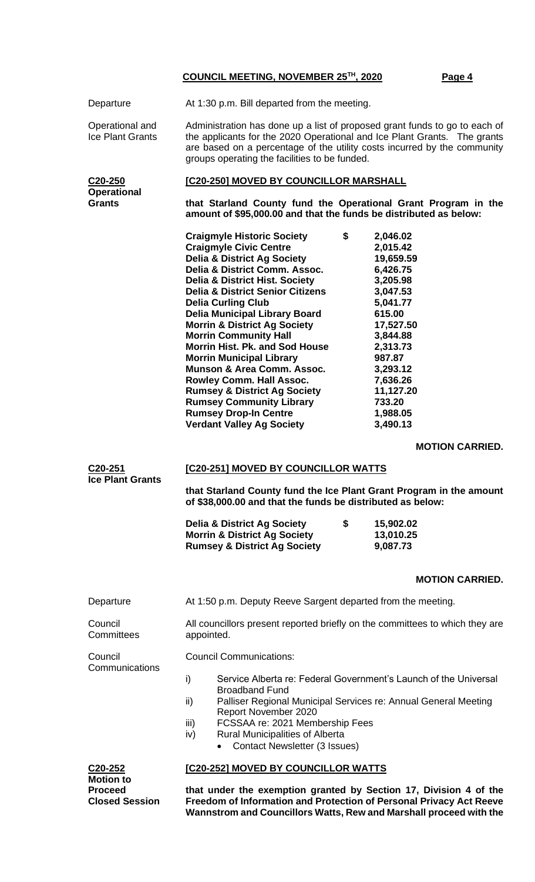| Departure                                  | At 1:30 p.m. Bill departed from the meeting.                                                                                                                                                                                                                                                                                                                                                                                                                                                                                                                                                                                                                                                       |                                                                                                                                                                                                                   |  |  |
|--------------------------------------------|----------------------------------------------------------------------------------------------------------------------------------------------------------------------------------------------------------------------------------------------------------------------------------------------------------------------------------------------------------------------------------------------------------------------------------------------------------------------------------------------------------------------------------------------------------------------------------------------------------------------------------------------------------------------------------------------------|-------------------------------------------------------------------------------------------------------------------------------------------------------------------------------------------------------------------|--|--|
| Operational and<br><b>Ice Plant Grants</b> | Administration has done up a list of proposed grant funds to go to each of<br>the applicants for the 2020 Operational and Ice Plant Grants. The grants<br>are based on a percentage of the utility costs incurred by the community<br>groups operating the facilities to be funded.                                                                                                                                                                                                                                                                                                                                                                                                                |                                                                                                                                                                                                                   |  |  |
| C <sub>20</sub> -250<br><b>Operational</b> | <b>[C20-250] MOVED BY COUNCILLOR MARSHALL</b>                                                                                                                                                                                                                                                                                                                                                                                                                                                                                                                                                                                                                                                      |                                                                                                                                                                                                                   |  |  |
| <b>Grants</b>                              | that Starland County fund the Operational Grant Program in the<br>amount of \$95,000.00 and that the funds be distributed as below:                                                                                                                                                                                                                                                                                                                                                                                                                                                                                                                                                                |                                                                                                                                                                                                                   |  |  |
|                                            | <b>Craigmyle Historic Society</b><br>\$<br><b>Craigmyle Civic Centre</b><br><b>Delia &amp; District Ag Society</b><br>Delia & District Comm. Assoc.<br><b>Delia &amp; District Hist. Society</b><br><b>Delia &amp; District Senior Citizens</b><br><b>Delia Curling Club</b><br><b>Delia Municipal Library Board</b><br><b>Morrin &amp; District Ag Society</b><br><b>Morrin Community Hall</b><br>Morrin Hist, Pk. and Sod House<br><b>Morrin Municipal Library</b><br><b>Munson &amp; Area Comm. Assoc.</b><br><b>Rowley Comm. Hall Assoc.</b><br><b>Rumsey &amp; District Ag Society</b><br><b>Rumsey Community Library</b><br><b>Rumsey Drop-In Centre</b><br><b>Verdant Valley Ag Society</b> | 2,046.02<br>2,015.42<br>19,659.59<br>6,426.75<br>3,205.98<br>3,047.53<br>5,041.77<br>615.00<br>17,527.50<br>3,844.88<br>2,313.73<br>987.87<br>3,293.12<br>7,636.26<br>11,127.20<br>733.20<br>1,988.05<br>3,490.13 |  |  |
|                                            |                                                                                                                                                                                                                                                                                                                                                                                                                                                                                                                                                                                                                                                                                                    | <b>MOTION CARRIED.</b>                                                                                                                                                                                            |  |  |
| C20-251                                    | [C20-251] MOVED BY COUNCILLOR WATTS                                                                                                                                                                                                                                                                                                                                                                                                                                                                                                                                                                                                                                                                |                                                                                                                                                                                                                   |  |  |
|                                            |                                                                                                                                                                                                                                                                                                                                                                                                                                                                                                                                                                                                                                                                                                    |                                                                                                                                                                                                                   |  |  |
| <b>Ice Plant Grants</b>                    | that Starland County fund the Ice Plant Grant Program in the amount<br>of \$38,000.00 and that the funds be distributed as below:                                                                                                                                                                                                                                                                                                                                                                                                                                                                                                                                                                  |                                                                                                                                                                                                                   |  |  |
|                                            | \$<br><b>Delia &amp; District Ag Society</b><br><b>Morrin &amp; District Ag Society</b><br><b>Rumsey &amp; District Ag Society</b>                                                                                                                                                                                                                                                                                                                                                                                                                                                                                                                                                                 | 15,902.02<br>13,010.25<br>9,087.73                                                                                                                                                                                |  |  |
|                                            |                                                                                                                                                                                                                                                                                                                                                                                                                                                                                                                                                                                                                                                                                                    | <b>MOTION CARRIED.</b>                                                                                                                                                                                            |  |  |
| Departure                                  | At 1:50 p.m. Deputy Reeve Sargent departed from the meeting.                                                                                                                                                                                                                                                                                                                                                                                                                                                                                                                                                                                                                                       |                                                                                                                                                                                                                   |  |  |
| Council<br>Committees                      | All councillors present reported briefly on the committees to which they are<br>appointed.                                                                                                                                                                                                                                                                                                                                                                                                                                                                                                                                                                                                         |                                                                                                                                                                                                                   |  |  |
| Council                                    | <b>Council Communications:</b>                                                                                                                                                                                                                                                                                                                                                                                                                                                                                                                                                                                                                                                                     |                                                                                                                                                                                                                   |  |  |
| Communications                             | Service Alberta re: Federal Government's Launch of the Universal<br>i)<br><b>Broadband Fund</b><br>Palliser Regional Municipal Services re: Annual General Meeting<br>ii)<br>Report November 2020<br>FCSSAA re: 2021 Membership Fees<br>iii)<br><b>Rural Municipalities of Alberta</b><br>iv)<br>Contact Newsletter (3 Issues)<br>$\bullet$                                                                                                                                                                                                                                                                                                                                                        |                                                                                                                                                                                                                   |  |  |
| C20-252<br><b>Motion to</b>                | [C20-252] MOVED BY COUNCILLOR WATTS                                                                                                                                                                                                                                                                                                                                                                                                                                                                                                                                                                                                                                                                |                                                                                                                                                                                                                   |  |  |

**Freedom of Information and Protection of Personal Privacy Act Reeve Wannstrom and Councillors Watts, Rew and Marshall proceed with the** 

**Closed Session**